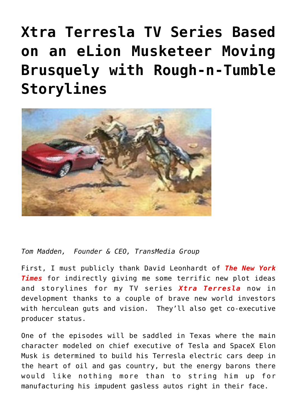## **[Xtra Terresla TV Series Based](https://www.commpro.biz/xtra-terresla-tv-series-based-on-an-elion-musketeer-moving-brusquely-with-rough-n-tumble-storylines/) [on an eLion Musketeer Moving](https://www.commpro.biz/xtra-terresla-tv-series-based-on-an-elion-musketeer-moving-brusquely-with-rough-n-tumble-storylines/) [Brusquely with Rough-n-Tumble](https://www.commpro.biz/xtra-terresla-tv-series-based-on-an-elion-musketeer-moving-brusquely-with-rough-n-tumble-storylines/) [Storylines](https://www.commpro.biz/xtra-terresla-tv-series-based-on-an-elion-musketeer-moving-brusquely-with-rough-n-tumble-storylines/)**



*Tom Madden, Founder & CEO, [TransMedia Group](https://www.transmediagroup.com/)*

First, I must publicly thank David Leonhardt of *The New York Times* for indirectly giving me some terrific new plot ideas and storylines for my TV series *Xtra Terresla* now in development thanks to a couple of brave new world investors with herculean guts and vision. They'll also get co-executive producer status.

One of the episodes will be saddled in Texas where the main character modeled on chief executive of Tesla and SpaceX Elon Musk is determined to build his Terresla electric cars deep in the heart of oil and gas country, but the energy barons there would like nothing more than to string him up for manufacturing his impudent gasless autos right in their face.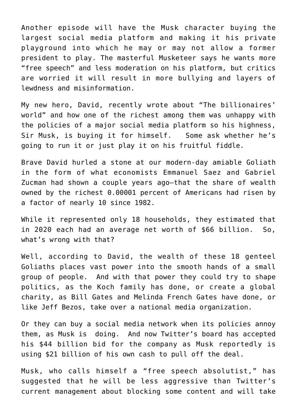Another episode will have the Musk character buying the largest social media platform and making it his private playground into which he may or may not allow a former president to play. The masterful Musketeer says he wants more "free speech" and less moderation on his platform, but critics are worried it will result in more bullying and layers of lewdness and misinformation.

My new hero, David, recently wrote about "The billionaires' world" and how one of the richest among them was unhappy with the policies of a major social media platform so his highness, Sir Musk, is buying it for himself. Some ask whether he's going to run it or just play it on his fruitful fiddle.

Brave David hurled a stone at our modern-day amiable Goliath in the form of what economists Emmanuel Saez and Gabriel Zucman had shown a couple years ago–that the share of wealth owned by the richest 0.00001 percent of Americans had risen by a factor of nearly 10 since 1982.

While it represented only 18 households, they estimated that in 2020 each had an average net worth of \$66 billion. So, what's wrong with that?

Well, according to David, the wealth of these 18 genteel Goliaths places vast power into the smooth hands of a small group of people. And with that power they could try to shape politics, as the Koch family has done, or create a global charity, as Bill Gates and Melinda French Gates have done, or like Jeff Bezos, take over a national media organization.

Or they can buy a social media network when its policies annoy them, as Musk is doing. And now Twitter's board has accepted his \$44 billion bid for the company as Musk reportedly is using \$21 billion of his own cash to pull off the deal.

Musk, who calls himself a "free speech absolutist," has suggested that he will be less aggressive than Twitter's current management about blocking some content and will take